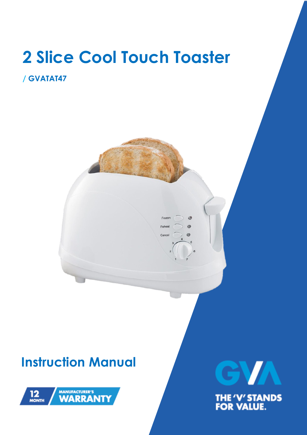

Frozen

Reheat

Cance

 $\circ$ 

 $\bullet$ 

# **/ GVATAT47**

# **Instruction Manual**



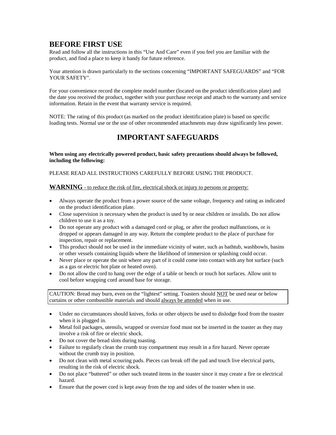### **BEFORE FIRST USE**

Read and follow all the instructions in this "Use And Care" even if you feel you are familiar with the product, and find a place to keep it handy for future reference.

Your attention is drawn particularly to the sections concerning "IMPORTANT SAFEGUARDS" and "FOR YOUR SAFETY".

For your convenience record the complete model number (located on the product identification plate) and the date you received the product, together with your purchase receipt and attach to the warranty and service information. Retain in the event that warranty service is required.

NOTE: The rating of this product (as marked on the product identification plate) is based on specific loading tests. Normal use or the use of other recommended attachments may draw significantly less power.

## **IMPORTANT SAFEGUARDS**

**When using any electrically powered product, basic safety precautions should always be followed, including the following:**

PLEASE READ ALL INSTRUCTIONS CAREFULLY BEFORE USING THE PRODUCT.

**WARNING** - to reduce the risk of fire, electrical shock or injury to persons or property:

- Always operate the product from a power source of the same voltage, frequency and rating as indicated on the product identification plate.
- Close supervision is necessary when the product is used by or near children or invalids. Do not allow children to use it as a toy.
- Do not operate any product with a damaged cord or plug, or after the product malfunctions, or is dropped or appears damaged in any way. Return the complete product to the place of purchase for inspection, repair or replacement.
- This product should not be used in the immediate vicinity of water, such as bathtub, washbowls, basins or other vessels containing liquids where the likelihood of immersion or splashing could occur.
- Never place or operate the unit where any part of it could come into contact with any hot surface (such as a gas or electric hot plate or heated oven).
- Do not allow the cord to hang over the edge of a table or bench or touch hot surfaces. Allow unit to cool before wrapping cord around base for storage.

CAUTION: Bread may burn, even on the "lightest" setting. Toasters should NOT be used near or below curtains or other combustible materials and should always be attended when in use.

- Under no circumstances should knives, forks or other objects be used to dislodge food from the toaster when it is plugged in.
- Metal foil packages, utensils, wrapped or oversize food must not be inserted in the toaster as they may involve a risk of fire or electric shock.
- Do not cover the bread slots during toasting.
- Failure to regularly clean the crumb tray compartment may result in a fire hazard. Never operate without the crumb tray in position.
- Do not clean with metal scouring pads. Pieces can break off the pad and touch live electrical parts, resulting in the risk of electric shock.
- Do not place "buttered" or other such treated items in the toaster since it may create a fire or electrical hazard.
- Ensure that the power cord is kept away from the top and sides of the toaster when in use.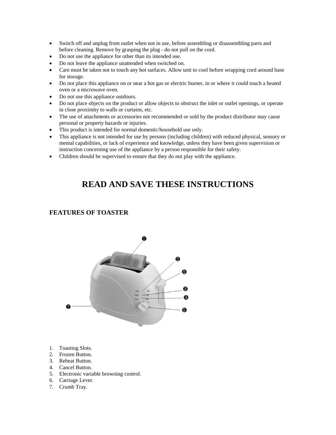- Switch off and unplug from outlet when not in use, before assembling or disassembling parts and before cleaning. Remove by grasping the plug - do not pull on the cord.
- Do not use the appliance for other than its intended use.
- Do not leave the appliance unattended when switched on.
- Care must be taken not to touch any hot surfaces. Allow unit to cool before wrapping cord around base for storage.
- Do not place this appliance on or near a hot gas or electric burner, in or where it could touch a heated oven or a microwave oven.
- Do not use this appliance outdoors.
- Do not place objects on the product or allow objects to obstruct the inlet or outlet openings, or operate in close proximity to walls or curtains, etc.
- The use of attachments or accessories not recommended or sold by the product distributor may cause personal or property hazards or injuries.
- This product is intended for normal domestic/household use only.
- This appliance is not intended for use by persons (including children) with reduced physical, sensory or mental capabilities, or lack of experience and knowledge, unless they have been given supervision or instruction concerning use of the appliance by a person responsible for their safety.
- Children should be supervised to ensure that they do not play with the appliance.

## **READ AND SAVE THESE INSTRUCTIONS**

#### **FEATURES OF TOASTER**



- 1. Toasting Slots.
- 2. Frozen Button.
- 3. Reheat Button.
- 4. Cancel Button.
- 5. Electronic variable browning control.
- 6. Carriage Lever.
- 7. Crumb Tray.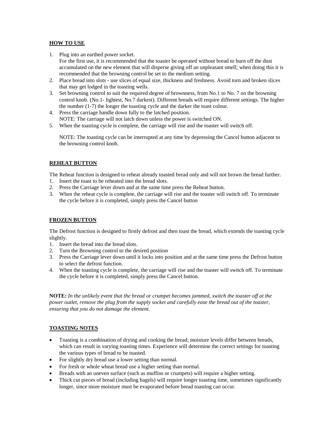#### **HOW TO USE**

- 1. Plug into an earthed power socket.
- For the first use, it is recommended that the toaster be operated without bread to burn off the dust accumulated on the new element that will disperse giving off an unpleasant smell; when doing this it is recommended that the browning control be set to the medium setting.
- 2. Place bread into slots use slices of equal size, thickness and freshness. Avoid torn and broken slices that may get lodged in the toasting wells.
- 3. Set browning control to suit the required degree of brownness, from No.1 to No. 7 on the browning control knob. (No.1- lightest, No.7 darkest). Different breads will require different settings. The higher the number (1-7) the longer the toasting cycle and the darker the toast colour.
- 4. Press the carriage handle down fully to the latched position. NOTE: The carriage will not latch down unless the power is switched ON.
- 5. When the toasting cycle is complete, the carriage will rise and the toaster will switch off.

NOTE: The toasting cycle can be interrupted at any time by depressing the Cancel button adjacent to the browning control knob.

#### **REHEAT BUTTON**

The Reheat function is designed to reheat already toasted bread only and will not brown the bread further.

- 1. Insert the toast to be reheated into the bread slots.
- 2. Press the Carriage lever down and at the same time press the Reheat button.
- 3. When the reheat cycle is complete, the carriage will rise and the toaster will switch off. To terminate the cycle before it is completed, simply press the Cancel button

#### **FROZEN BUTTON**

The Defrost function is designed to firstly defrost and then toast the bread, which extends the toasting cycle slightly.

- 1. Insert the bread into the bread slots.
- 2. Turn the Browning control to the desired position
- 3. Press the Carriage lever down until it locks into position and at the same time press the Defrost button to select the defrost function.
- 4. When the toasting cycle is complete, the carriage will rise and the toaster will switch off. To terminate the cycle before it is completed, simply press the Cancel button.

**NOTE:** *In the unlikely event that the bread or crumpet becomes jammed, switch the toaster off at the power outlet, remove the plug from the supply socket and carefully ease the bread out of the toaster, ensuring that you do not damage the element.* 

#### **TOASTING NOTES**

- Toasting is a combination of drying and cooking the bread; moisture levels differ between breads, which can result in varying toasting times. Experience will determine the correct settings for toasting the various types of bread to be toasted.
- For slightly dry bread use a lower setting than normal.
- For fresh or whole wheat bread use a higher setting than normal.
- Breads with an uneven surface (such as muffins or crumpets) will require a higher setting.
- Thick cut pieces of bread (including bagels) will require longer toasting time, sometimes significantly longer, since more moisture must be evaporated before bread toasting can occur.